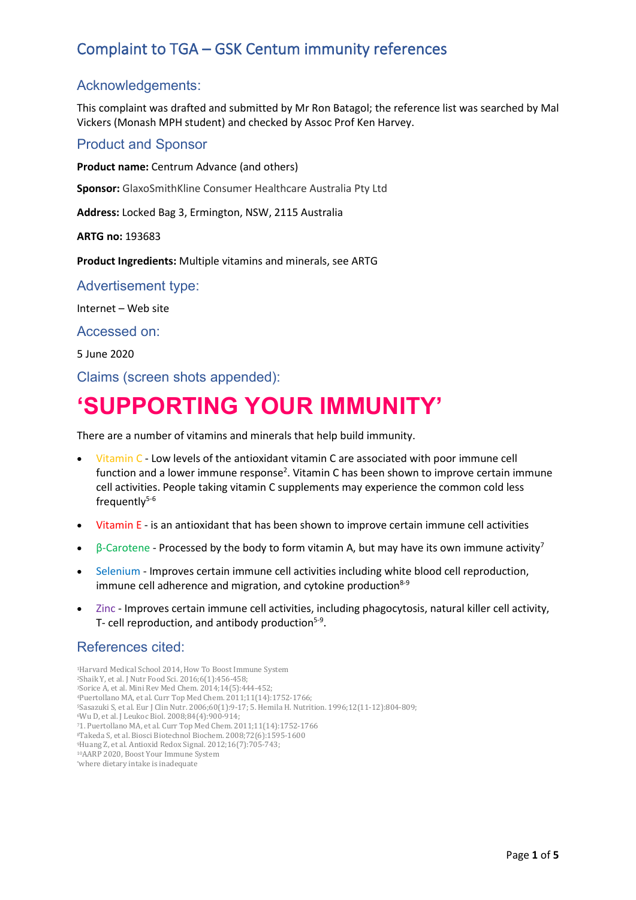### Acknowledgements:

This complaint was drafted and submitted by Mr Ron Batagol; the reference list was searched by Mal Vickers (Monash MPH student) and checked by Assoc Prof Ken Harvey.

### Product and Sponsor

**Product name:** Centrum Advance (and others)

**Sponsor:** GlaxoSmithKline Consumer Healthcare Australia Pty Ltd

**Address:** Locked Bag 3, Ermington, NSW, 2115 Australia

**ARTG no:** 193683

**Product Ingredients:** Multiple vitamins and minerals, see ARTG

Advertisement type:

Internet – Web site

Accessed on:

5 June 2020

Claims (screen shots appended):

# **'SUPPORTING YOUR IMMUNITY'**

There are a number of vitamins and minerals that help build immunity.

- Vitamin C Low levels of the antioxidant vitamin C are associated with poor immune cell function and a lower immune response<sup>2</sup>. Vitamin C has been shown to improve certain immune cell activities. People taking vitamin C supplements may experience the common cold less frequently $5-6$
- Vitamin E is an antioxidant that has been shown to improve certain immune cell activities
- $β$ -Carotene Processed by the body to form vitamin A, but may have its own immune activity<sup>7</sup>
- Selenium Improves certain immune cell activities including white blood cell reproduction, immune cell adherence and migration, and cytokine production $8-9$
- Zinc Improves certain immune cell activities, including phagocytosis, natural killer cell activity, T- cell reproduction, and antibody production<sup>5-9</sup>.

### References cited:

1Harvard Medical School 2014, How To Boost Immune System 2Shaik Y, et al. J Nutr Food Sci. 2016;6(1):456-458; 3Sorice A, et al. Mini Rev Med Chem. 2014;14(5):444-452; 4Puertollano MA, et al. Curr Top Med Chem. 2011;11(14):1752-1766; 5Sasazuki S, et al. Eur J Clin Nutr. 2006;60(1):9-17; 5. Hemila H. Nutrition. 1996;12(11-12):804-809; 6Wu D, et al. J Leukoc Biol. 2008;84(4):900-914; 71. Puertollano MA, et al. Curr Top Med Chem. 2011;11(14):1752-1766 8Takeda S, et al. Biosci Biotechnol Biochem. 2008;72(6):1595-1600 9Huang Z, et al. Antioxid Redox Signal. 2012;16(7):705-743; 10AARP 2020, Boost Your Immune System \*where dietary intake is inadequate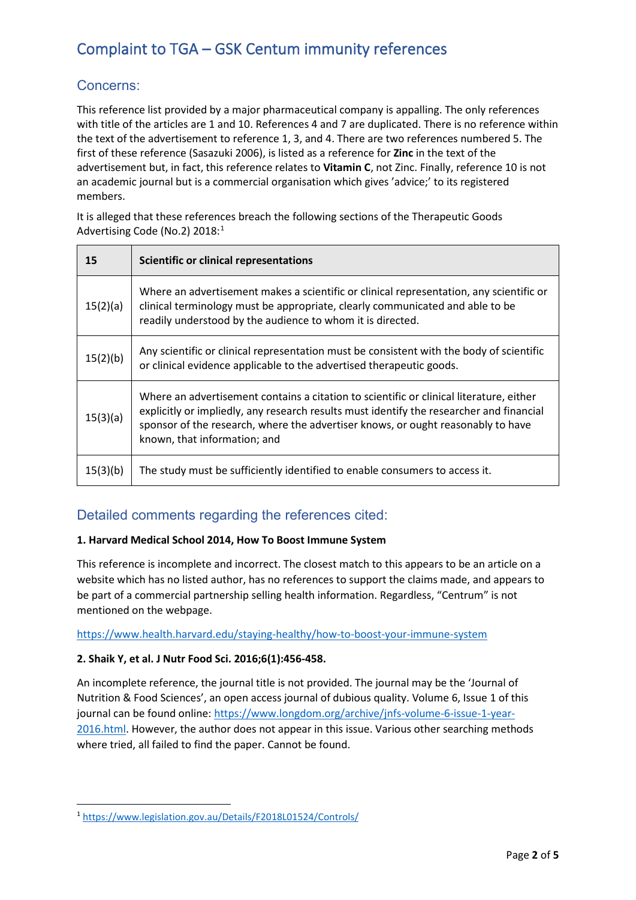### Concerns:

This reference list provided by a major pharmaceutical company is appalling. The only references with title of the articles are 1 and 10. References 4 and 7 are duplicated. There is no reference within the text of the advertisement to reference 1, 3, and 4. There are two references numbered 5. The first of these reference (Sasazuki 2006), is listed as a reference for **Zinc** in the text of the advertisement but, in fact, this reference relates to **Vitamin C**, not Zinc. Finally, reference 10 is not an academic journal but is a commercial organisation which gives 'advice;' to its registered members.

It is alleged that these references breach the following sections of the Therapeutic Goods Advertising Code (No.2) 20[1](#page-1-0)8:<sup>1</sup>

| 15       | <b>Scientific or clinical representations</b>                                                                                                                                                                                                                                                           |
|----------|---------------------------------------------------------------------------------------------------------------------------------------------------------------------------------------------------------------------------------------------------------------------------------------------------------|
| 15(2)(a) | Where an advertisement makes a scientific or clinical representation, any scientific or<br>clinical terminology must be appropriate, clearly communicated and able to be<br>readily understood by the audience to whom it is directed.                                                                  |
| 15(2)(b) | Any scientific or clinical representation must be consistent with the body of scientific<br>or clinical evidence applicable to the advertised therapeutic goods.                                                                                                                                        |
| 15(3)(a) | Where an advertisement contains a citation to scientific or clinical literature, either<br>explicitly or impliedly, any research results must identify the researcher and financial<br>sponsor of the research, where the advertiser knows, or ought reasonably to have<br>known, that information; and |
| 15(3)(b) | The study must be sufficiently identified to enable consumers to access it.                                                                                                                                                                                                                             |

### Detailed comments regarding the references cited:

#### **1. Harvard Medical School 2014, How To Boost Immune System**

This reference is incomplete and incorrect. The closest match to this appears to be an article on a website which has no listed author, has no references to support the claims made, and appears to be part of a commercial partnership selling health information. Regardless, "Centrum" is not mentioned on the webpage.

<https://www.health.harvard.edu/staying-healthy/how-to-boost-your-immune-system>

#### **2. Shaik Y, et al. J Nutr Food Sci. 2016;6(1):456-458.**

An incomplete reference, the journal title is not provided. The journal may be the 'Journal of Nutrition & Food Sciences', an open access journal of dubious quality. Volume 6, Issue 1 of this journal can be found online: [https://www.longdom.org/archive/jnfs-volume-6-issue-1-year-](https://www.longdom.org/archive/jnfs-volume-6-issue-1-year-2016.html)[2016.html.](https://www.longdom.org/archive/jnfs-volume-6-issue-1-year-2016.html) However, the author does not appear in this issue. Various other searching methods where tried, all failed to find the paper. Cannot be found.

<span id="page-1-0"></span><sup>1</sup> <https://www.legislation.gov.au/Details/F2018L01524/Controls/>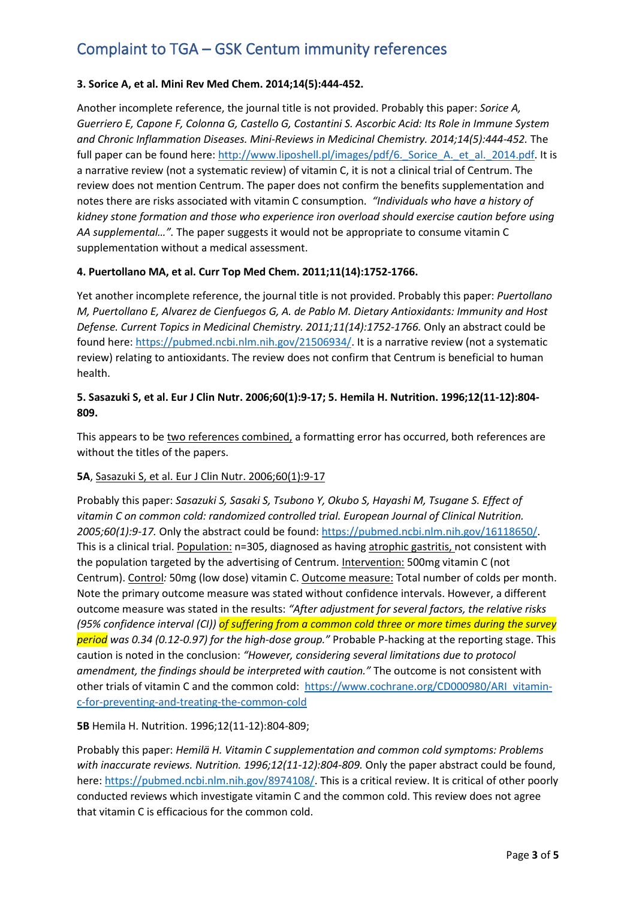#### **3. Sorice A, et al. Mini Rev Med Chem. 2014;14(5):444-452.**

Another incomplete reference, the journal title is not provided. Probably this paper: *Sorice A, Guerriero E, Capone F, Colonna G, Castello G, Costantini S. Ascorbic Acid: Its Role in Immune System and Chronic Inflammation Diseases. Mini-Reviews in Medicinal Chemistry. 2014;14(5):444-452.* The full paper can be found here: http://www.liposhell.pl/images/pdf/6. Sorice A. et al. 2014.pdf. It is a narrative review (not a systematic review) of vitamin C, it is not a clinical trial of Centrum. The review does not mention Centrum. The paper does not confirm the benefits supplementation and notes there are risks associated with vitamin C consumption. *"Individuals who have a history of kidney stone formation and those who experience iron overload should exercise caution before using AA supplemental…".* The paper suggests it would not be appropriate to consume vitamin C supplementation without a medical assessment.

#### **4. Puertollano MA, et al. Curr Top Med Chem. 2011;11(14):1752-1766.**

Yet another incomplete reference, the journal title is not provided. Probably this paper: *Puertollano M, Puertollano E, Alvarez de Cienfuegos G, A. de Pablo M. Dietary Antioxidants: Immunity and Host Defense. Current Topics in Medicinal Chemistry. 2011;11(14):1752-1766.* Only an abstract could be found here: [https://pubmed.ncbi.nlm.nih.gov/21506934/.](https://pubmed.ncbi.nlm.nih.gov/21506934/) It is a narrative review (not a systematic review) relating to antioxidants. The review does not confirm that Centrum is beneficial to human health.

#### **5. Sasazuki S, et al. Eur J Clin Nutr. 2006;60(1):9-17; 5. Hemila H. Nutrition. 1996;12(11-12):804- 809.**

This appears to be two references combined, a formatting error has occurred, both references are without the titles of the papers.

#### **5A**, Sasazuki S, et al. Eur J Clin Nutr. 2006;60(1):9-17

Probably this paper: *Sasazuki S, Sasaki S, Tsubono Y, Okubo S, Hayashi M, Tsugane S. Effect of vitamin C on common cold: randomized controlled trial. European Journal of Clinical Nutrition. 2005;60(1):9-17.* Only the abstract could be found: [https://pubmed.ncbi.nlm.nih.gov/16118650/.](https://pubmed.ncbi.nlm.nih.gov/16118650/) This is a clinical trial. Population: n=305, diagnosed as having atrophic gastritis, not consistent with the population targeted by the advertising of Centrum. Intervention: 500mg vitamin C (not Centrum). Control*:* 50mg (low dose) vitamin C. Outcome measure: Total number of colds per month. Note the primary outcome measure was stated without confidence intervals. However, a different outcome measure was stated in the results: *"After adjustment for several factors, the relative risks (95% confidence interval (CI)) of suffering from a common cold three or more times during the survey period was 0.34 (0.12-0.97) for the high-dose group."* Probable P-hacking at the reporting stage. This caution is noted in the conclusion: *"However, considering several limitations due to protocol amendment, the findings should be interpreted with caution."* The outcome is not consistent with other trials of vitamin C and the common cold: [https://www.cochrane.org/CD000980/ARI\\_vitamin](https://www.cochrane.org/CD000980/ARI_vitamin-c-for-preventing-and-treating-the-common-cold)[c-for-preventing-and-treating-the-common-cold](https://www.cochrane.org/CD000980/ARI_vitamin-c-for-preventing-and-treating-the-common-cold)

**5B** Hemila H. Nutrition. 1996;12(11-12):804-809;

Probably this paper: *Hemilä H. Vitamin C supplementation and common cold symptoms: Problems with inaccurate reviews. Nutrition. 1996;12(11-12):804-809.* Only the paper abstract could be found, here: [https://pubmed.ncbi.nlm.nih.gov/8974108/.](https://pubmed.ncbi.nlm.nih.gov/8974108/) This is a critical review. It is critical of other poorly conducted reviews which investigate vitamin C and the common cold. This review does not agree that vitamin C is efficacious for the common cold.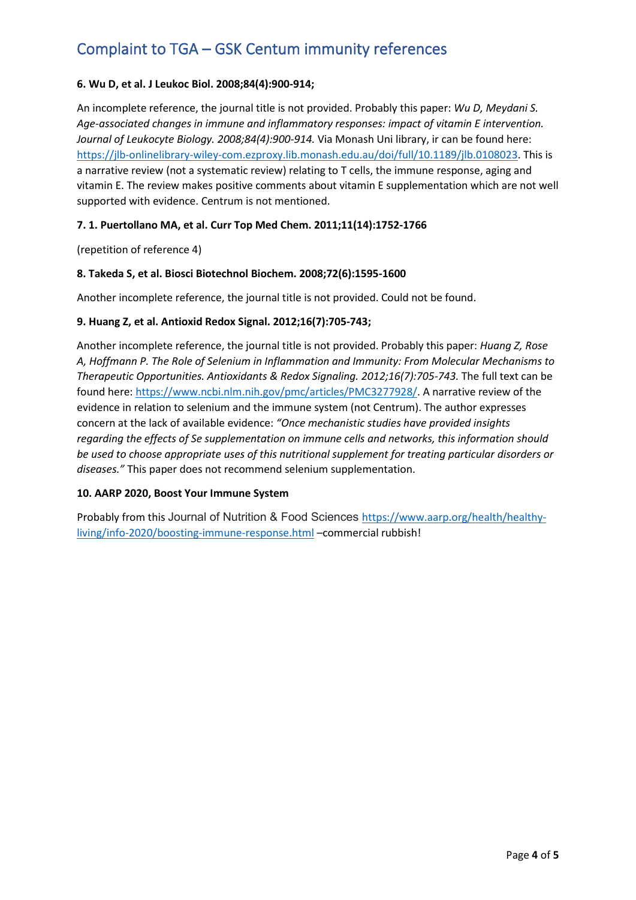#### **6. Wu D, et al. J Leukoc Biol. 2008;84(4):900-914;**

An incomplete reference, the journal title is not provided. Probably this paper: *Wu D, Meydani S. Age-associated changes in immune and inflammatory responses: impact of vitamin E intervention. Journal of Leukocyte Biology. 2008;84(4):900-914.* Via Monash Uni library, ir can be found here: [https://jlb-onlinelibrary-wiley-com.ezproxy.lib.monash.edu.au/doi/full/10.1189/jlb.0108023.](https://jlb-onlinelibrary-wiley-com.ezproxy.lib.monash.edu.au/doi/full/10.1189/jlb.0108023) This is a narrative review (not a systematic review) relating to T cells, the immune response, aging and vitamin E. The review makes positive comments about vitamin E supplementation which are not well supported with evidence. Centrum is not mentioned.

#### **7. 1. Puertollano MA, et al. Curr Top Med Chem. 2011;11(14):1752-1766**

(repetition of reference 4)

#### **8. Takeda S, et al. Biosci Biotechnol Biochem. 2008;72(6):1595-1600**

Another incomplete reference, the journal title is not provided. Could not be found.

#### **9. Huang Z, et al. Antioxid Redox Signal. 2012;16(7):705-743;**

Another incomplete reference, the journal title is not provided. Probably this paper: *Huang Z, Rose A, Hoffmann P. The Role of Selenium in Inflammation and Immunity: From Molecular Mechanisms to Therapeutic Opportunities. Antioxidants & Redox Signaling. 2012;16(7):705-743.* The full text can be found here: [https://www.ncbi.nlm.nih.gov/pmc/articles/PMC3277928/.](https://www.ncbi.nlm.nih.gov/pmc/articles/PMC3277928/) A narrative review of the evidence in relation to selenium and the immune system (not Centrum). The author expresses concern at the lack of available evidence: *"Once mechanistic studies have provided insights regarding the effects of Se supplementation on immune cells and networks, this information should be used to choose appropriate uses of this nutritional supplement for treating particular disorders or diseases."* This paper does not recommend selenium supplementation.

#### **10. AARP 2020, Boost Your Immune System**

Probably from this Journal of Nutrition & Food Sciences [https://www.aarp.org/health/healthy](https://www.aarp.org/health/healthy-living/info-2020/boosting-immune-response.html)[living/info-2020/boosting-immune-response.html](https://www.aarp.org/health/healthy-living/info-2020/boosting-immune-response.html) –commercial rubbish!